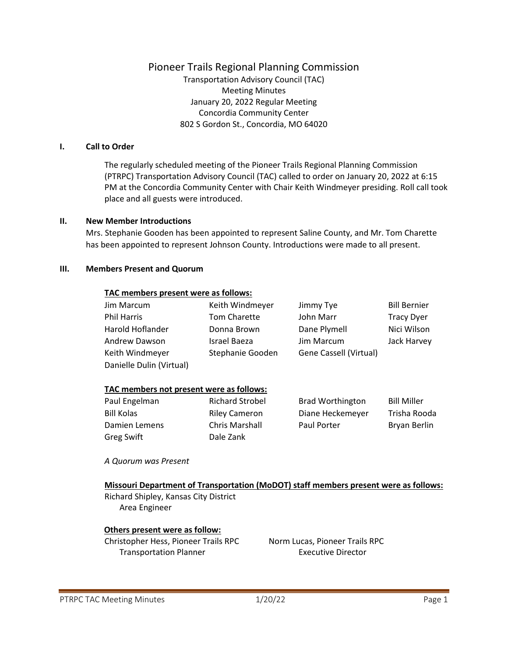## Pioneer Trails Regional Planning Commission

Transportation Advisory Council (TAC) Meeting Minutes January 20, 2022 Regular Meeting Concordia Community Center 802 S Gordon St., Concordia, MO 64020

#### **I. Call to Order**

The regularly scheduled meeting of the Pioneer Trails Regional Planning Commission (PTRPC) Transportation Advisory Council (TAC) called to order on January 20, 2022 at 6:15 PM at the Concordia Community Center with Chair Keith Windmeyer presiding. Roll call took place and all guests were introduced.

#### **II. New Member Introductions**

Mrs. Stephanie Gooden has been appointed to represent Saline County, and Mr. Tom Charette has been appointed to represent Johnson County. Introductions were made to all present.

#### **III. Members Present and Quorum**

#### **TAC members present were as follows:**

| Jim Marcum               | Keith Windmeyer  | Jimmy Tye              | <b>Bill Bernier</b> |
|--------------------------|------------------|------------------------|---------------------|
| <b>Phil Harris</b>       | Tom Charette     | John Marr              | <b>Tracy Dyer</b>   |
| Harold Hoflander         | Donna Brown      | Dane Plymell           | Nici Wilson         |
| Andrew Dawson            | Israel Baeza     | Jim Marcum             | Jack Harvey         |
| Keith Windmeyer          | Stephanie Gooden | Gene Cassell (Virtual) |                     |
| Danielle Dulin (Virtual) |                  |                        |                     |

#### **TAC members not present were as follows:**

Paul Engelman Richard Strobel Bill Kolas **Riley Cameron** Damien Lemens Chris Marshall Greg Swift Dale Zank

| <b>Brad Worthington</b> | <b>Bill Miller</b> |
|-------------------------|--------------------|
| Diane Heckemeyer        | Trisha Rooda       |
| Paul Porter             | Bryan Berlin       |

*A Quorum was Present*

**Missouri Department of Transportation (MoDOT) staff members present were as follows:** Richard Shipley, Kansas City District Area Engineer

#### **Others present were as follow:**

Christopher Hess, Pioneer Trails RPC Norm Lucas, Pioneer Trails RPC Transportation Planner **Executive Director**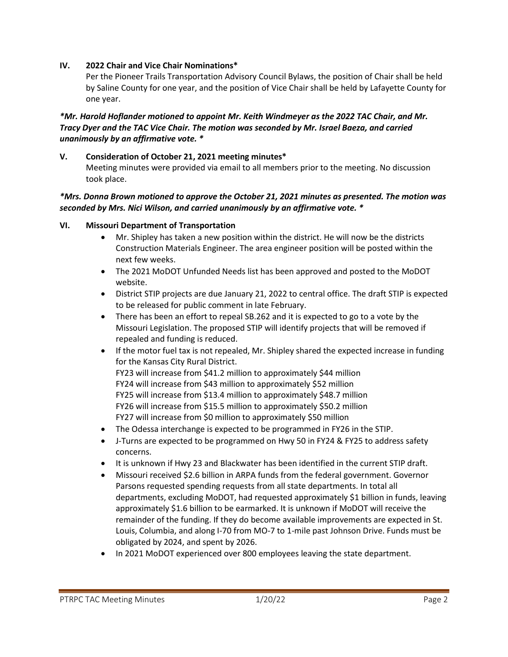## **IV. 2022 Chair and Vice Chair Nominations\***

Per the Pioneer Trails Transportation Advisory Council Bylaws, the position of Chair shall be held by Saline County for one year, and the position of Vice Chair shall be held by Lafayette County for one year.

### *\*Mr. Harold Hoflander motioned to appoint Mr. Keith Windmeyer as the 2022 TAC Chair, and Mr. Tracy Dyer and the TAC Vice Chair. The motion was seconded by Mr. Israel Baeza, and carried unanimously by an affirmative vote. \**

# **V. Consideration of October 21, 2021 meeting minutes\***

Meeting minutes were provided via email to all members prior to the meeting. No discussion took place.

### *\*Mrs. Donna Brown motioned to approve the October 21, 2021 minutes as presented. The motion was seconded by Mrs. Nici Wilson, and carried unanimously by an affirmative vote. \**

### **VI. Missouri Department of Transportation**

- Mr. Shipley has taken a new position within the district. He will now be the districts Construction Materials Engineer. The area engineer position will be posted within the next few weeks.
- The 2021 MoDOT Unfunded Needs list has been approved and posted to the MoDOT website.
- District STIP projects are due January 21, 2022 to central office. The draft STIP is expected to be released for public comment in late February.
- There has been an effort to repeal SB.262 and it is expected to go to a vote by the Missouri Legislation. The proposed STIP will identify projects that will be removed if repealed and funding is reduced.
- If the motor fuel tax is not repealed, Mr. Shipley shared the expected increase in funding for the Kansas City Rural District. FY23 will increase from \$41.2 million to approximately \$44 million FY24 will increase from \$43 million to approximately \$52 million FY25 will increase from \$13.4 million to approximately \$48.7 million
	- FY26 will increase from \$15.5 million to approximately \$50.2 million
	- FY27 will increase from \$0 million to approximately \$50 million
- The Odessa interchange is expected to be programmed in FY26 in the STIP.
- J-Turns are expected to be programmed on Hwy 50 in FY24 & FY25 to address safety concerns.
- It is unknown if Hwy 23 and Blackwater has been identified in the current STIP draft.
- Missouri received \$2.6 billion in ARPA funds from the federal government. Governor Parsons requested spending requests from all state departments. In total all departments, excluding MoDOT, had requested approximately \$1 billion in funds, leaving approximately \$1.6 billion to be earmarked. It is unknown if MoDOT will receive the remainder of the funding. If they do become available improvements are expected in St. Louis, Columbia, and along I-70 from MO-7 to 1-mile past Johnson Drive. Funds must be obligated by 2024, and spent by 2026.
- In 2021 MoDOT experienced over 800 employees leaving the state department.